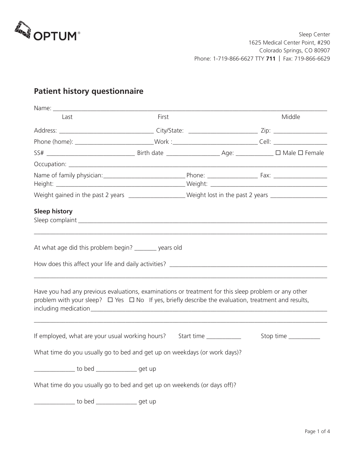

# **Patient history questionnaire**

| Last                                                                                                                                                                                                                  | First |                         | Middle                |
|-----------------------------------------------------------------------------------------------------------------------------------------------------------------------------------------------------------------------|-------|-------------------------|-----------------------|
|                                                                                                                                                                                                                       |       |                         |                       |
| Phone (home): ______________________________Work :_______________________________Cell: _______________________                                                                                                        |       |                         |                       |
|                                                                                                                                                                                                                       |       |                         |                       |
|                                                                                                                                                                                                                       |       |                         |                       |
|                                                                                                                                                                                                                       |       |                         |                       |
| Weight gained in the past 2 years ___________________Weight lost in the past 2 years ______________                                                                                                                   |       |                         |                       |
| <b>Sleep history</b><br>At what age did this problem begin? _______ years old                                                                                                                                         |       |                         |                       |
|                                                                                                                                                                                                                       |       |                         |                       |
| Have you had any previous evaluations, examinations or treatment for this sleep problem or any other<br>problem with your sleep? $\Box$ Yes $\Box$ No If yes, briefly describe the evaluation, treatment and results, |       |                         |                       |
| If employed, what are your usual working hours?                                                                                                                                                                       |       | Start time ____________ | Stop time ___________ |
| What time do you usually go to bed and get up on weekdays (or work days)?                                                                                                                                             |       |                         |                       |
| to bed ________________get up                                                                                                                                                                                         |       |                         |                       |
| What time do you usually go to bed and get up on weekends (or days off)?                                                                                                                                              |       |                         |                       |
| to bed ________________get up                                                                                                                                                                                         |       |                         |                       |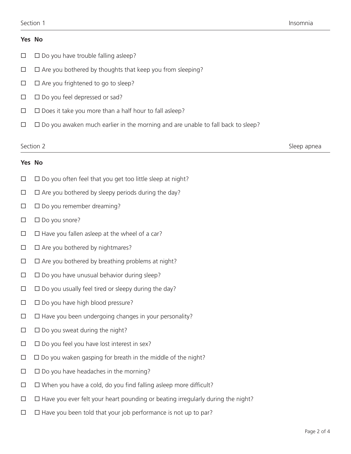# **Yes No**

- $\square$   $\square$  Do you have trouble falling asleep?
- $\Box$   $\Box$  Are you bothered by thoughts that keep you from sleeping?
- $\Box$   $\Box$  Are you frightened to go to sleep?
- $\square$   $\square$  Do you feel depressed or sad?
- $\Box$   $\Box$  Does it take you more than a half hour to fall asleep?
- $\Box$   $\Box$  Do you awaken much earlier in the morning and are unable to fall back to sleep?

Section 2 and Sleep apneal structure of the Sleep appreal structure of the Sleep appreal structure of the Sleep appreal structure of the Sleep appreal structure of the Sleep appreal structure of the Sleep appreal structure

# **Yes No**

- $\Box$   $\Box$  Do you often feel that you get too little sleep at night?
- $\Box$   $\Box$  Are you bothered by sleepy periods during the day?
- $\square$   $\square$  Do you remember dreaming?
- $\square$   $\square$  Do you snore?
- $\Box$   $\Box$  Have you fallen asleep at the wheel of a car?
- $\Box$   $\Box$  Are you bothered by nightmares?
- $\Box$   $\Box$  Are you bothered by breathing problems at night?
- $\Box$   $\Box$  Do you have unusual behavior during sleep?
- $\square$   $\square$  Do you usually feel tired or sleepy during the day?
- $\square$   $\square$  Do you have high blood pressure?
- $\Box$   $\Box$  Have you been undergoing changes in your personality?
- $\square$   $\square$  Do you sweat during the night?
- $\Box$   $\Box$  Do you feel you have lost interest in sex?
- $\Box$   $\Box$  Do you waken gasping for breath in the middle of the night?
- $\square$   $\square$  Do you have headaches in the morning?
- $\Box$   $\Box$  When you have a cold, do you find falling asleep more difficult?
- $\Box$   $\Box$  Have you ever felt your heart pounding or beating irregularly during the night?
- $\Box$   $\Box$  Have you been told that your job performance is not up to par?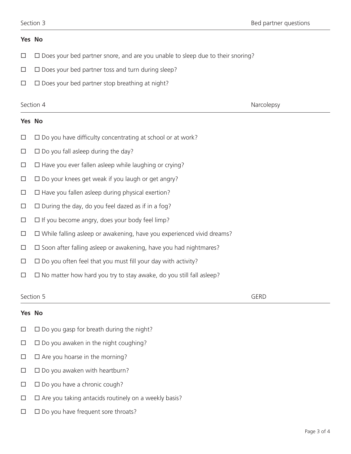# **Yes No**

- $\Box$   $\Box$  Does your bed partner snore, and are you unable to sleep due to their snoring?
- $\Box$   $\Box$  Does your bed partner toss and turn during sleep?
- $\Box$   $\Box$  Does your bed partner stop breathing at night?

Section 4 **Narcolepsy** 

# **Yes No**

- $\Box$   $\Box$  Do you have difficulty concentrating at school or at work?
- $\square$   $\square$  Do you fall asleep during the day?
- $\Box$   $\Box$  Have you ever fallen asleep while laughing or crying?
- $\Box$   $\Box$  Do your knees get weak if you laugh or get angry?
- $\Box$   $\Box$  Have you fallen asleep during physical exertion?
- $\Box$   $\Box$  During the day, do you feel dazed as if in a fog?
- $\Box$   $\Box$  If you become angry, does your body feel limp?
- $\Box$   $\Box$  While falling asleep or awakening, have you experienced vivid dreams?
- $\square$   $\square$  Soon after falling asleep or awakening, have you had nightmares?
- $\Box$   $\Box$  Do you often feel that you must fill your day with activity?
- $\Box$   $\Box$  No matter how hard you try to stay awake, do you still fall asleep?

### Section 5 GERD

## **Yes No**

- $\Box$   $\Box$  Do you gasp for breath during the night?
- $\Box$   $\Box$  Do you awaken in the night coughing?
- $\Box$   $\Box$  Are you hoarse in the morning?
- $\square$   $\square$  Do you awaken with heartburn?
- $\Box$   $\Box$  Do you have a chronic cough?
- $\Box$   $\Box$  Are you taking antacids routinely on a weekly basis?
- $\Box$   $\Box$  Do you have frequent sore throats?